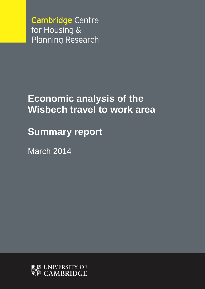**Cambridge Centre** for Housing & **Planning Research** 

# **Economic analysis of the Wisbech travel to work area**

**Summary report**

March 2014

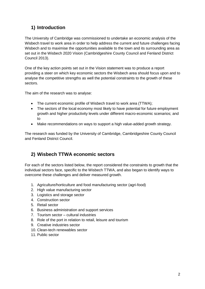# **1) Introduction**

The University of Cambridge was commissioned to undertake an economic analysis of the Wisbech travel to work area in order to help address the current and future challenges facing Wisbech and to maximise the opportunities available to the town and its surrounding area as set out in the Wisbech 2020 Vision (Cambridgeshire County Council and Fenland District Council 2013).

One of the key action points set out in the Vision statement was to produce a report providing a steer on which key economic sectors the Wisbech area should focus upon and to analyse the competitive strengths as well the potential constraints to the growth of these sectors.

The aim of the research was to analyse:

- The current economic profile of Wisbech travel to work area (TTWA);
- The sectors of the local economy most likely to have potential for future employment growth and higher productivity levels under different macro-economic scenarios; and to
- Make recommendations on ways to support a high value-added growth strategy.

The research was funded by the University of Cambridge, Cambridgeshire County Council and Fenland District Council.

## **2) Wisbech TTWA economic sectors**

For each of the sectors listed below, the report considered the constraints to growth that the individual sectors face, specific to the Wisbech TTWA, and also began to identify ways to overcome these challenges and deliver measured growth.

- 1. Agriculture/horticulture and food manufacturing sector (agri-food)
- 2. High value manufacturing sector
- 3. Logistics and storage sector
- 4. Construction sector
- 5. Retail sector
- 6. Business administration and support services
- 7. Tourism sector cultural industries
- 8. Role of the port in relation to retail, leisure and tourism
- 9. Creative industries sector
- 10. Clean-tech renewables sector
- 11. Public sector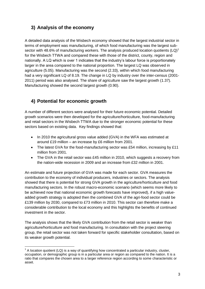# **3) Analysis of the economy**

A detailed data analysis of the Wisbech economy showed that the largest industrial sector in terms of employment was manufacturing, of which food manufacturing was the largest subsector with 48.6% of manufacturing workers. The analysis produced location quotients  $(LQ)^1$ for the Wisbech TTWA and compared these with those of the district, county, region and nationally. A LQ which is over 1 indicates that the industry's labour force is proportionately larger in the area compared to the national proportion. The largest LQ was observed in agriculture (5.05). Manufacturing was the second (2.33), within which food manufacturing had a very significant LQ of 8.19. The change in LQ by industry over the inter-census (2001- 2011) period was also analysed. The share of agriculture saw the largest growth (1.37). Manufacturing showed the second largest growth (0.90).

# **4) Potential for economic growth**

A number of different sectors were analysed for their future economic potential. Detailed growth scenarios were then developed for the agriculture/horticulture, food-manufacturing and retail sectors in the Wisbech TTWA due to the stronger economic potential for these sectors based on existing data. Key findings showed that:

- In 2010 the agricultural gross value added (GVA) in the WFA was estimated at around £19 million – an increase by £6 million from 2001.
- The latest GVA for the food-manufacturing sector was £54 million, increasing by £11 million from 2001.
- The GVA in the retail sector was £45 million in 2010, which suggests a recovery from the nation-wide recession in 2009 and an increase from £32 million in 2001.

An estimate and future projection of GVA was made for each sector. GVA measures the contribution to the economy of individual producers, industries or sectors. The analysis showed that there is potential for strong GVA growth in the agriculture/horticulture and food manufacturing sectors. In the robust macro-economic scenario (which seems more likely to be achieved now that national economic growth forecasts have improved), if a high valueadded growth strategy is adopted then the combined GVA of the agri-food sector could be £139 million by 2030, compared to £73 million in 2010. This sector can therefore make a considerable contribution to the local economy and this highlights the benefits of continued investment in the sector.

The analysis shows that the likely GVA contribution from the retail sector is weaker than agriculture/horticulture and food manufacturing. In consultation with the project steering group, the retail sector was not taken forward for specific stakeholder consultation, based on its weaker growth potential.

<sup>1</sup>  $1$  A location quotient (LQ) is a way of quantifying how concentrated a particular industry, cluster, occupation, or demographic group is in a particular area or region as compared to the nation. It is a ratio that compares the chosen area to a larger reference region according to some characteristic or asset.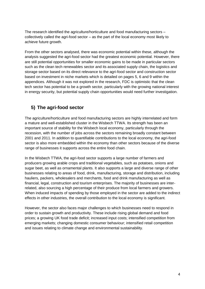The research identified the agriculture/horticulture and food manufacturing sectors – collectively called the agri-food sector – as the part of the local economy most likely to achieve future growth.

From the other sectors analysed, there was economic potential within these, although the analysis suggested the agri-food sector had the greatest economic potential. However, there are still potential opportunities for smaller economic gains to be made in particular sectors such as the clean tech renewables sector and its associated supply chain, the logistics and storage sector based on its direct relevance to the agri-food sector and construction sector based on investment in niche markets which is detailed on pages 5, 6 and 9 within the appendices. Although it was not explored in the research, FDC is optimistic that the clean tech sector has potential to be a growth sector, particularly with the growing national interest in energy security, but potential supply chain opportunities would need further investigation.

# **5) The agri-food sector**

The agriculture/horticulture and food manufacturing sectors are highly interrelated and form a mature and well-established cluster in the Wisbech TTWA. Its strength has been an important source of stability for the Wisbech local economy, particularly through the recession, with the number of jobs across the sectors remaining broadly constant between 2001 and 2011. In addition to quantifiable contributions to the local economy, the agri-food sector is also more embedded within the economy than other sectors because of the diverse range of businesses it supports across the entire food chain.

In the Wisbech TTWA, the agri-food sector supports a large number of farmers and producers growing arable crops and traditional vegetables, such as potatoes, onions and sugar beet, as well as ornamental plants. It also supports a large and diverse range of other businesses relating to areas of food, drink, manufacturing, storage and distribution, including hauliers, packers, wholesalers and merchants, food and drink manufacturing as well as financial, legal, construction and tourism enterprises. The majority of businesses are interrelated, also sourcing a high percentage of their produce from local farmers and growers. When induced impacts of spending by those employed in the sector are added to the indirect effects in other industries, the overall contribution to the local economy is significant.

However, the sector also faces major challenges to which businesses need to respond in order to sustain growth and productivity. These include rising global demand and food prices; a growing UK food trade deficit; increased input costs; intensified competition from emerging markets; changing domestic consumer behaviour; intensified retail competition and issues relating to climate change and environmental sustainability.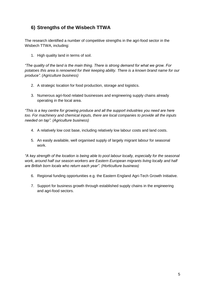# **6) Strengths of the Wisbech TTWA**

The research identified a number of competitive strengths in the agri-food sector in the Wisbech TTWA, including:

1. High quality land in terms of soil.

*"The quality of the land is the main thing. There is strong demand for what we grow. For potatoes this area is renowned for their keeping ability. There is a known brand name for our produce". (Agriculture business)* 

- 2. A strategic location for food production, storage and logistics.
- 3. Numerous agri-food related businesses and engineering supply chains already operating in the local area.

*"This is a key centre for growing produce and all the support industries you need are here too. For machinery and chemical inputs, there are local companies to provide all the inputs needed on tap". (Agriculture business)*

- 4. A relatively low cost base, including relatively low labour costs and land costs.
- 5. An easily available, well organised supply of largely migrant labour for seasonal work.

*"A key strength of the location is being able to pool labour locally, especially for the seasonal*  work, around half our season workers are Eastern European migrants living locally and half *are British born locals who return each year". (Horticulture business)*

- 6. Regional funding opportunities e.g. the Eastern England Agri-Tech Growth Initiative.
- 7. Support for business growth through established supply chains in the engineering and agri-food sectors.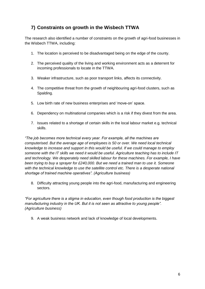# **7) Constraints on growth in the Wisbech TTWA**

The research also identified a number of constraints on the growth of agri-food businesses in the Wisbech TTWA, including:

- 1. The location is perceived to be disadvantaged being on the edge of the county.
- 2. The perceived quality of the living and working environment acts as a deterrent for incoming professionals to locate in the TTWA.
- 3. Weaker infrastructure, such as poor transport links, affects its connectivity.
- 4. The competitive threat from the growth of neighbouring agri-food clusters, such as Spalding.
- 5. Low birth rate of new business enterprises and 'move-on' space.
- 6. Dependency on multinational companies which is a risk if they divest from the area.
- 7. Issues related to a shortage of certain skills in the local labour market e.g. technical skills.

*"The job becomes more technical every year. For example, all the machines are computerised. But the average age of employees is 50 or over. We need local technical knowledge to increase and support in this would be useful. If we could manage to employ someone with the IT skills we need it would be useful. Agriculture teaching has to include IT and technology. We desperately need skilled labour for these machines. For example, I have been trying to buy a sprayer for £240,000. But we need a trained man to use it. Someone*  with the technical knowledge to use the satellite control etc. There is a desperate national *shortage of trained machine operatives". (Agriculture business)*

8. Difficulty attracting young people into the agri-food, manufacturing and engineering sectors.

*"For agriculture there is a stigma in education, even though food production is the biggest manufacturing industry in the UK. But it is not seen as attractive to young people". (Agriculture business)*

9. A weak business network and lack of knowledge of local developments.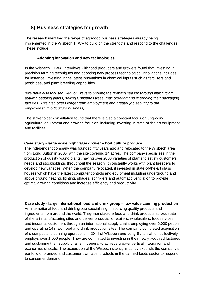# **8) Business strategies for growth**

The research identified the range of agri-food business strategies already being implemented in the Wisbech TTWA to build on the strengths and respond to the challenges. These include:

#### **1. Adopting innovation and new technologies**

In the Wisbech TTWA, interviews with food producers and growers found that investing in precision farming techniques and adopting new process technological innovations includes, for instance, investing in the latest innovations in chemical inputs such as fertilisers and pesticides, and plant breeding capabilities.

*"We have also focused R&D on ways to prolong the growing season through introducing autumn bedding plants, selling Christmas trees, mail ordering and extending their packaging facilities. This also offers longer term employment and greater job security to our employees". (Horticulture business)*

The stakeholder consultation found that there is also a constant focus on upgrading agricultural equipment and growing facilities, including investing in state-of-the art equipment and facilities.

#### **Case study - large scale high value grower – horticulture produce**

The independent company was founded fifty years ago and relocated to the Wisbech area from Long Sutton in 2006, with the site covering 14 acres. The company specialises in the production of quality young plants, having over 2000 varieties of plants to satisfy customers' needs and stockholdings throughout the season. It constantly works with plant breeders to develop new varieties. When the company relocated, it invested in state-of-the-art glass houses which have the latest computer controls and equipment including underground and above ground heating, lighting, shades, sprinklers and automatic ventilation to provide optimal growing conditions and increase efficiency and productivity.

**Case study - large international food and drink group – low value canning production**  An international food and drink group specialising in sourcing quality products and ingredients from around the world. They manufacture food and drink products across stateof-the-art manufacturing sites and deliver products to retailers, wholesalers, foodservices and industrial customers through an international supply chain, employing over 6,000 people and operating 14 major food and drink production sites. The company completed acquisition of a competitor's canning operations in 2011 at Wisbech and Long Sutton which collectively employs over 1,000 people. They are committed to investing in their newly acquired factories and sustaining their supply chains in general to achieve greater vertical integration and economies of scale. The acquisition of the Wisbech site significantly expands the company's portfolio of branded and customer own label products in the canned foods sector to respond to consumer demand.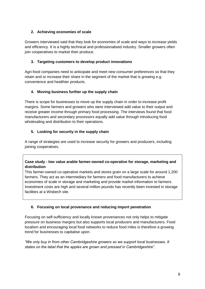### **2. Achieving economies of scale**

Growers interviewed said that they look for economies of scale and ways to increase yields and efficiency. It is a highly technical and professionalised industry. Smaller growers often join cooperatives to market their produce.

### **3. Targeting customers to develop product innovations**

Agri-food companies need to anticipate and meet new consumer preferences so that they retain and or increase their share in the segment of the market that is growing e.g. convenience and healthier products.

## **4. Moving business further up the supply chain**

There is scope for businesses to move up the supply chain in order to increase profit margins. Some farmers and growers who were interviewed add value to their output and receive greater income through primary food processing. The interviews found that food manufacturers and secondary processors equally add value through introducing food wholesaling and distribution to their operations.

## **5. Looking for security in the supply chain**

A range of strategies are used to increase security for growers and producers, including joining cooperatives.

### **Case study - low value arable farmer-owned co-operative for storage, marketing and distribution**

This farmer-owned co-operative markets and stores grain on a large scale for around 1,200 farmers. They act as an intermediary for farmers and food manufacturers to achieve economies of scale in storage and marketing and provide market information to farmers. Investment costs are high and several million pounds has recently been invested in storage facilities at a Wisbech site.

## **6. Focusing on local provenance and reducing import penetration**

Focusing on self-sufficiency and locally known provenances not only helps to mitigate pressure on business margins but also supports local producers and manufacturers. Food localism and encouraging local food networks to reduce food miles is therefore a growing trend for businesses to capitalise upon.

*"We only buy in from other Cambridgeshire growers so we support local businesses. It states on the label that the apples are grown and pressed in Cambridgeshire".*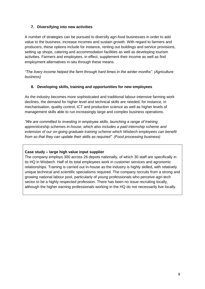### **7. Diversifying into new activities**

A number of strategies can be pursued to diversify agri-food businesses in order to add value to the business, increase incomes and sustain growth. With regard to farmers and producers, these options include for instance, renting out buildings and service provisions, setting up shops, catering and accommodation facilities as well as developing tourism activities. Farmers and employees, in effect, supplement their income as well as find employment alternatives in-situ through these means.

*"The livery income helped the farm through hard times in the winter months". (Agriculture business)*

#### **8. Developing skills, training and opportunities for new employees**

As the industry becomes more sophisticated and traditional labour-intensive farming work declines, the demand for higher level and technical skills are needed, for instance, in mechanisation, quality control, ICT and production science as well as higher levels of management skills able to run increasingly large and complex business operations.

*"We are committed to investing in employee skills, launching a range of training apprenticeship schemes in-house, which also includes a paid internship scheme and extension of our on-going graduate training scheme which Wisbech employees can benefit from so that they can update their skills as required". (Food processing business)*

#### **Case study – large high value input supplier**

The company employs 300 across 26 depots nationally, of which 30 staff are specifically in its HQ in Wisbech. Half of its total employees work in customer services and agronomic relationships. Training is carried out in-house as the industry is highly skilled, with relatively unique technical and scientific specialisms required. The company recruits from a strong and growing national labour pool, particularly of young professionals who perceive agri-tech sector to be a highly respected profession. There has been no issue recruiting locally, although the higher earning professionals working in the HQ do not necessarily live locally.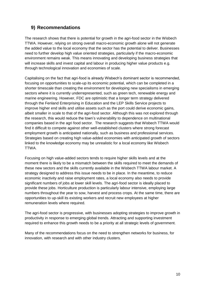# **9) Recommendations**

The research shows that there is potential for growth in the agri-food sector in the Wisbech TTWA. However, relying on strong overall macro-economic growth alone will not generate the added value to the local economy that the sector has the potential to deliver. Businesses need to further develop high value oriented strategies, particularly if the macro-economic environment remains weak. This means innovating and developing business strategies that will increase skills and invest capital and labour in producing higher value products e.g. through technological innovation and economies of scale.

Capitalising on the fact that agri-food is already Wisbech's dominant sector is recommended, focusing on opportunities to scale-up its economic potential, which can be completed in a shorter timescale than creating the environment for developing new specialisms in emerging sectors where it is currently underrepresented, such as green tech, renewable energy and marine engineering. However, FDC are optimistic that a longer term strategy delivered through the Fenland Enterprising in Education and the LEP Skills Service projects to improve higher end skills and utilise assets such as the port could derive economic gains, albeit smaller in scale to that of the agri-food sector. Although this was not explored through the research, this would reduce the town's vulnerability to dependence on multinational companies based in the agri food sector. The research suggests that Wisbech TTWA would find it difficult to compete against other well-established clusters where strong forecast employment growth is anticipated nationally, such as business and professional services. Strategies based on creating high value-added economies with anticipated growth of sectors linked to the knowledge economy may be unrealistic for a local economy like Wisbech TTWA.

Focusing on high value-added sectors tends to require higher skills levels and at the moment there is likely to be a mismatch between the skills required to meet the demands of these new sectors and the skills currently available in the Wisbech TTWA labour market. A strategy designed to address this issue needs to be in place. In the meantime, to reduce economic inactivity and raise employment rates, a local economy also needs to provide significant numbers of jobs at lower skill levels. The agri-food sector is ideally placed to provide these jobs. Horticulture production is particularly labour intensive, employing large numbers throughout the year to sow, harvest and process crops. At the same time, there are opportunities to up-skill its existing workers and recruit new employees at higher remuneration levels where required.

The agri-food sector is progressive, with businesses adopting strategies to improve growth in productivity in response to emerging global trends. Attracting and supporting investment required to enhance this growth needs to be a priority at all strategic levels of government.

Many of the recommendations focus on the need to strengthen networks for business, for innovation, with research and with other industry clusters.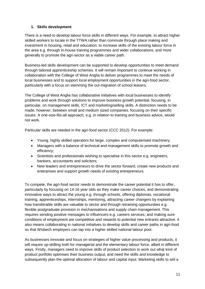### **1. Skills development**

There is a need to develop labour force skills in different ways. For example, to attract higher skilled workers to locate in the TTWA rather than commute through place making and investment in housing, retail and education; to increase skills of the existing labour force in the area e.g. through in-house training programmes and wider collaborations; and more generally to promote the agri-sector as a viable career path.

Business-led skills development can be supported to develop opportunities to meet demand through tailored apprenticeship schemes. It will remain important to continue working in collaboration with the College of West Anglia to deliver programmes to meet the needs of local businesses and to support local employment opportunities in the agri-food sector, particularly with a focus on stemming the out-migration of school leavers.

The College of West Anglia has collaborative initiatives with local businesses to identify problems and work through solutions to improve business growth potential, focusing, in particular, on management skills, ICT and marketing/selling skills. A distinction needs to be made, however, between small and medium sized companies, focusing on their specific issues. A one-size-fits-all approach, e.g. in relation to training and business advice, would not work.

Particular skills are needed in the agri-food sector (CCC 2012). For example:

- Young, highly skilled operators for large, complex and computerised machinery;
- Managers with a balance of technical and management skills to promote growth and efficiency;
- Scientists and professionals wishing to specialise in this sector e.g. engineers, bankers, accountants and solicitors;
- New leaders and entrepreneurs to drive the sector forward, create new products and enterprises and support growth needs of existing entrepreneurs.

To compete, the agri-food sector needs to demonstrate the career potential it has to offer, particularly by focusing on 14-16 year olds as they make career choices, and demonstrating innovative ways to attract the young e.g. through schools, offering diplomas, vocational training, apprenticeships, internships, mentoring, attracting career changers by explaining how transferable skills are valuable to sector and through retraining opportunities e.g. flexible postgraduate provision in mechanisations and supply chain management. This requires sending positive messages to influencers e.g. careers services; and making sure conditions of employment are competitive and rewards to potential new entrants attractive. It also means collaborating in national initiatives to develop skills and career paths in agri-food so that Wisbech employers can tap into a higher skilled national labour pool.

As businesses innovate and focus on strategies of higher value processing and products, it will require up-skilling both for managerial and the elementary labour force, albeit in different ways. Firstly, managers need to improve skills of product selection to work out what kind of product portfolio optimises their business output, and need the skills and knowledge to subsequently plan the optimal allocation of labour and capital input. Marketing skills to sell a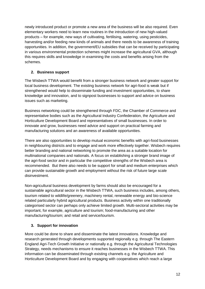newly introduced product or promote a new area of the business will be also required. Even elementary workers need to learn new routines in the introduction of new high-valued products – for example, new ways of cultivating, fertilising, watering, using pesticides, harvesting and/or feeding new kinds of animals and there needs to be awareness of training opportunities. In addition, the government/EU subsidies that can be received by participating in various environmental protection schemes might increase the agricultural GVA, although this requires skills and knowledge in examining the costs and benefits arising from the schemes.

## **2. Business support**

The Wisbech TTWA would benefit from a stronger business network and greater support for local business development. The existing business network for agri-food is weak but if strengthened would help to disseminate funding and investment opportunities, to share knowledge and innovation, and to signpost businesses to support and advice on business issues such as marketing.

Business networking could be strengthened through FDC, the Chamber of Commerce and representative bodies such as the Agricultural Industry Confederation, the Agriculture and Horticulture Development Board and representatives of small businesses. In order to innovate and grow, businesses need advice and support on practical farming and manufacturing solutions and an awareness of available opportunities.

There are also opportunities to develop mutual economic benefits with agri-food businesses in neighbouring districts and to engage and work more effectively together. Wisbech requires better branding and national networking to promote the area as a suitable location for multinational companies and nationals. A focus on establishing a stronger brand image of the agri-food sector and in particular the competitive strengths of the Wisbech area is recommended. But there also needs to be support for small and medium enterprises which can provide sustainable growth and employment without the risk of future large scale disinvestment.

Non-agricultural business development by farms should also be encouraged for a sustainable agricultural sector in the Wisbech TTWA, such business includes, among others, tourism related to wildlife/greenery, machinery rental, renewable energy and bio-science related particularly hybrid agricultural products. Business activity within one traditionally categorised sector can perhaps only achieve limited growth. Multi-sectoral activities may be important, for example, agriculture and tourism; food-manufacturing and other manufacturing/tourism; and retail and service/tourism.

## **3. Support for innovation**

More could be done to share and disseminate the latest innovations. Knowledge and research generated through developments supported regionally e.g. through The Eastern England Agri-Tech Growth Initiative or nationally e.g. through the Agricultural Technologies Strategy, needs mechanisms to ensure it reaches businesses in the Wisbech TTWA. This information can be disseminated through existing channels e.g. the Agriculture and Horticulture Development Board and by engaging with cooperatives which reach a large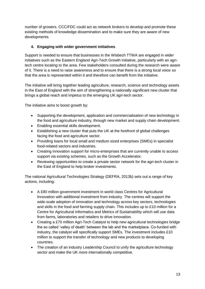number of growers. CCC/FDC could act as network brokers to develop and promote these existing methods of knowledge dissemination and to make sure they are aware of new developments.

## **4. Engaging with wider government initiatives**

Support is needed to ensure that businesses in the Wisbech TTWA are engaged in wider initiatives such as the Eastern England Agri-Tech Growth Initiative, particularly with an agritech centre locating to the area. Few stakeholders consulted during the research were aware of it. There is a need to raise awareness and to ensure that there is a strong local voice so that the area is represented within it and therefore can benefit from the initiative.

The initiative will bring together leading agriculture, research, science and technology assets in the East of England with the aim of strengthening a nationally significant new cluster that brings a global reach and impetus to the emerging UK agri-tech sector.

The initiative aims to boost growth by:

- Supporting the development, application and commercialisation of new technology in the food and agriculture industry, through new market and supply chain development.
- Enabling essential skills development.
- Establishing a new cluster that puts the UK at the forefront of global challenges facing the food and agriculture sector.
- Providing loans for local small and medium sized enterprises (SMEs) in specialist food-related sectors and industries.
- Creating innovation support for micro-enterprises that are currently unable to access support via existing schemes, such as the Growth Accelerator.
- Reviewing opportunities to create a private sector network for the agri-tech cluster in the East of England to help broker investments.

The national Agricultural Technologies Strategy (DEFRA, 2013b) sets out a range of key actions, including:

- A £90 million government investment in world class Centres for Agricultural Innovation with additional investment from industry. The centres will support the wide-scale adoption of innovation and technology across key sectors, technologies and skills in the food and farming supply chain. This includes up to £10 million for a Centre for Agricultural Informatics and Metrics of Sustainability which will use data from farms, laboratories and retailers to drive innovation.
- Creating a £70 million Agri-Tech Catalyst to help new agricultural technologies bridge the so called 'valley of death' between the lab and the marketplace. Co-funded with industry, the catalyst will specifically support SMEs. The investment includes £10 million to support the transfer of technology and new products to developing countries.
- The creation of an industry Leadership Council to unify the agriculture technology sector and make the UK more internationally competitive.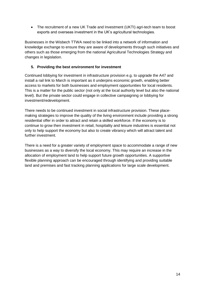• The recruitment of a new UK Trade and Investment (UKTI) agri-tech team to boost exports and overseas investment in the UK's agricultural technologies.

Businesses in the Wisbech TTWA need to be linked into a network of information and knowledge exchange to ensure they are aware of developments through such initiatives and others such as those emerging from the national Agricultural Technologies Strategy and changes in legislation.

### **5. Providing the best environment for investment**

Continued lobbying for investment in infrastructure provision e.g. to upgrade the A47 and install a rail link to March is important as it underpins economic growth, enabling better access to markets for both businesses and employment opportunities for local residents. This is a matter for the public sector (not only at the local authority level but also the national level). But the private sector could engage in collective campaigning or lobbying for investment/redevelopment.

There needs to be continued investment in social infrastructure provision. These placemaking strategies to improve the quality of the living environment include providing a strong residential offer in order to attract and retain a skilled workforce. If the economy is to continue to grow then investment in retail, hospitality and leisure industries is essential not only to help support the economy but also to create vibrancy which will attract talent and further investment.

There is a need for a greater variety of employment space to accommodate a range of new businesses as a way to diversify the local economy. This may require an increase in the allocation of employment land to help support future growth opportunities. A supportive flexible planning approach can be encouraged through identifying and providing suitable land and premises and fast tracking planning applications for large scale development.